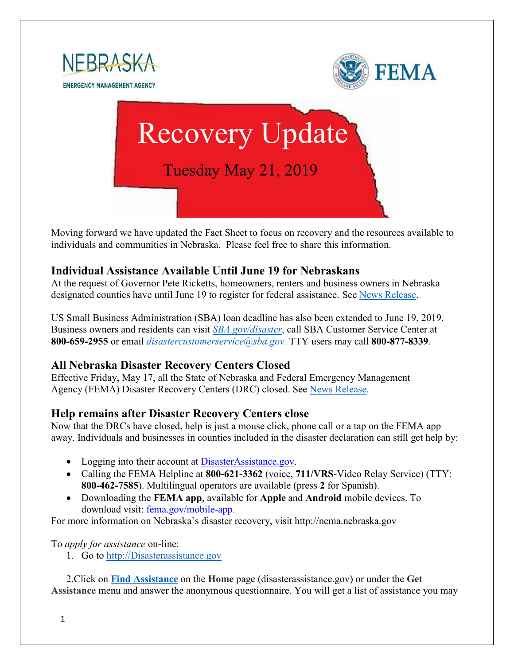

Moving forward we have updated the Fact Sheet to focus on recovery and the resources available to individuals and communities in Nebraska. Please feel free to share this information.

#### **Individual Assistance Available Until June 19 for Nebraskans**

At the request of Governor Pete Ricketts, homeowners, renters and business owners in Nebraska designated counties have until June 19 to register for federal assistance. See [News Release.](https://www.fema.gov/news-release/2019/05/16/individual-assistance-now-available-until-june-19-nebraskans)

US Small Business Administration (SBA) loan deadline has also been extended to June 19, 2019. Business owners and residents can visit *[SBA.gov/disaster](http://www.sba.gov/disaster)*, call SBA Customer Service Center at **800-659-2955** or email *[disastercustomerservice@sba.gov.](mailto:disastercustomerservice@sba.gov)* TTY users may call **800-877-8339**.

### **All Nebraska Disaster Recovery Centers Closed**

Effective Friday, May 17, all the State of Nebraska and Federal Emergency Management Agency (FEMA) Disaster Recovery Centers (DRC) closed. See [News Release.](https://www.fema.gov/news-release/2019/05/15/all-nebraska-disaster-recovery-centers-close-may-17)

### **Help remains after Disaster Recovery Centers close**

Now that the DRCs have closed, help is just a mouse click, phone call or a tap on the FEMA app away. Individuals and businesses in counties included in the disaster declaration can still get help by:

- Logging into their account at [DisasterAssistance.gov.](http://www.disasterassistance.gov/)
- Calling the FEMA Helpline at **800-621-3362** (voice, **711/VRS**-Video Relay Service) (TTY: **800-462-7585**). Multilingual operators are available (press **2** for Spanish).
- Downloading the **FEMA app**, available for **Apple** and **Android** mobile devices. To download visit: [fema.gov/mobile-app.](https://www.fema.gov/mobile-app)

For more information on Nebraska's disaster recovery, visit http://nema.nebraska.gov

#### To *apply for assistance* on-line:

1. Go to [http://Disasterassistance.gov](http://disasterassistance.gov/)

2.Click on **[Find Assistance](https://www.disasterassistance.gov/get-assistance/find-assistance)** on the **Home** page (disasterassistance.gov) or under the **Get Assistance** menu and answer the anonymous questionnaire. You will get a list of assistance you may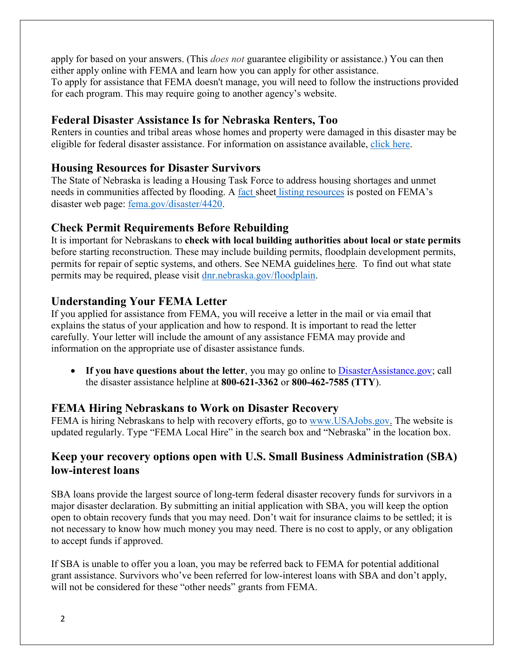apply for based on your answers. (This *does not* guarantee eligibility or assistance.) You can then either apply online with FEMA and learn how you can apply for other assistance. To apply for assistance that FEMA doesn't manage, you will need to follow the instructions provided for each program. This may require going to another agency's website.

## **Federal Disaster Assistance Is for Nebraska Renters, Too**

Renters in counties and tribal areas whose homes and property were damaged in this disaster may be eligible for federal disaster assistance. For information on assistance available, [click here.](https://www.fema.gov/news-release/2019/05/13/federal-disaster-assistance-nebraska-renters-too)

### **Housing Resources for Disaster Survivors**

The State of Nebraska is leading a Housing Task Force to address housing shortages and unmet needs in communities affected by flooding. A fact sheet [listing resources](https://edit.fema.gov/news-release/2019/04/19/fact-sheet-housing-resources-residents-nebraska-affected-march-storms-0) is posted on FEMA's disaster web page: [fema.gov/disaster/4420.](http://www.fema.gov/disaster/4420)

# **Check Permit Requirements Before Rebuilding**

It is important for Nebraskans to **check with local building authorities about local or state permits** before starting reconstruction. These may include building permits, floodplain development permits, permits for repair of septic systems, and others. See NEMA guidelines [here.](https://nema.nebraska.gov/sites/nema.nebraska.gov/files/doc/ehp-considerations.pdf) To find out what state permits may be required, please visit [dnr.nebraska.gov/floodplain.](https://dnr.nebraska.gov/floodplain)

# **Understanding Your FEMA Letter**

If you applied for assistance from FEMA, you will receive a letter in the mail or via email that explains the status of your application and how to respond. It is important to read the letter carefully. Your letter will include the amount of any assistance FEMA may provide and information on the appropriate use of disaster assistance funds.

• If you have questions about the letter, you may go online to [DisasterAssistance.gov;](http://www.disasterassistance.gov/) call the disaster assistance helpline at **800-621-3362** or **800-462-7585 (TTY**).

### **FEMA Hiring Nebraskans to Work on Disaster Recovery**

FEMA is hiring Nebraskans to help with recovery efforts, go to [www.USAJobs.gov.](http://www.usajobs.gov/) The website is updated regularly. Type "FEMA Local Hire" in the search box and "Nebraska" in the location box.

# **Keep your recovery options open with U.S. Small Business Administration (SBA) low-interest loans**

SBA loans provide the largest source of long-term federal disaster recovery funds for survivors in a major disaster declaration. By submitting an initial application with SBA, you will keep the option open to obtain recovery funds that you may need. Don't wait for insurance claims to be settled; it is not necessary to know how much money you may need. There is no cost to apply, or any obligation to accept funds if approved.

If SBA is unable to offer you a loan, you may be referred back to FEMA for potential additional grant assistance. Survivors who've been referred for low-interest loans with SBA and don't apply, will not be considered for these "other needs" grants from FEMA.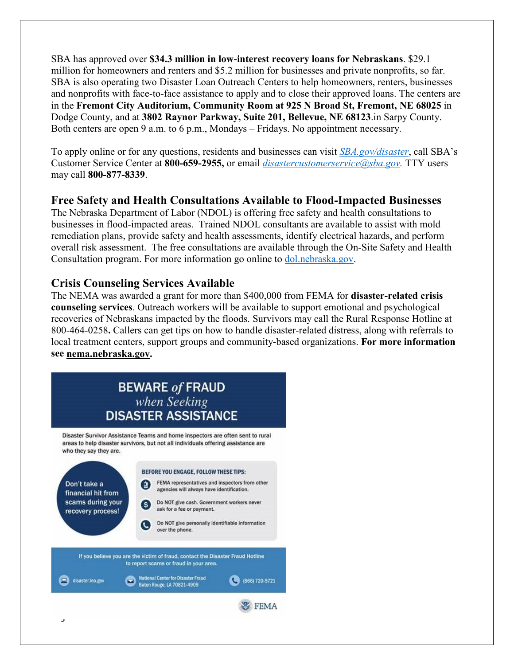SBA has approved over **\$34.3 million in low-interest recovery loans for Nebraskans**. \$29.1 million for homeowners and renters and \$5.2 million for businesses and private nonprofits, so far. SBA is also operating two Disaster Loan Outreach Centers to help homeowners, renters, businesses and nonprofits with face-to-face assistance to apply and to close their approved loans. The centers are in the **Fremont City Auditorium, Community Room at 925 N Broad St, Fremont, NE 68025** in Dodge County, and at **3802 Raynor Parkway, Suite 201, Bellevue, NE 68123**.in Sarpy County. Both centers are open 9 a.m. to 6 p.m., Mondays – Fridays. No appointment necessary.

To apply online or for any questions, residents and businesses can visit *[SBA.gov/disaster](http://www.sba.gov/disaster)*, call SBA's Customer Service Center at **800-659-2955,** or email *[disastercustomerservice@sba.gov.](mailto:disastercustomerservice@sba.gov)* TTY users may call **800-877-8339**.

# **Free Safety and Health Consultations Available to Flood-Impacted Businesses**

The Nebraska Department of Labor (NDOL) is offering free safety and health consultations to businesses in flood-impacted areas. Trained NDOL consultants are available to assist with mold remediation plans, provide safety and health assessments, identify electrical hazards, and perform overall risk assessment. The free consultations are available through the On-Site Safety and Health Consultation program. For more information go online to [dol.nebraska.gov.](https://dol.nebraska.gov/PressRelease/Details/117)

# **Crisis Counseling Services Available**

The NEMA was awarded a grant for more than \$400,000 from FEMA for **disaster-related crisis counseling services**. Outreach workers will be available to support emotional and psychological recoveries of Nebraskans impacted by the floods. Survivors may call the Rural Response Hotline at 800-464-0258**.** Callers can get tips on how to handle disaster-related distress, along with referrals to local treatment centers, support groups and community-based organizations. **For more information see [nema.nebraska.gov.](file://fema.net/R7/DR/DR-4420-NE/EA/Planning%20and%20Products/Writers/Dale%20Bonza/DFS/nema.nebraska.gov)**

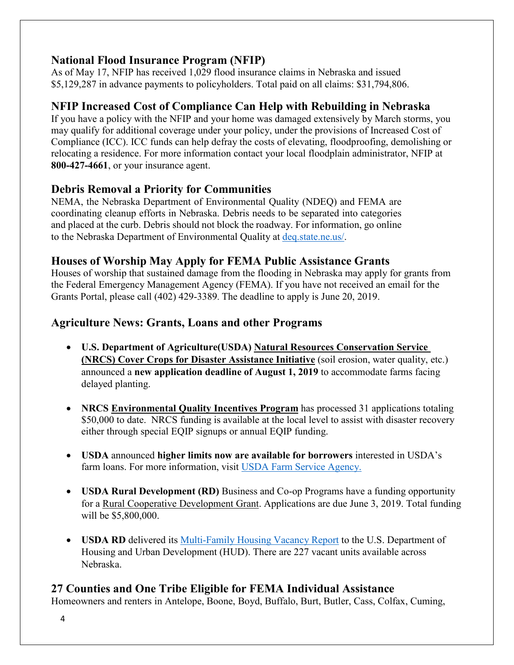# **National Flood Insurance Program (NFIP)**

As of May 17, NFIP has received 1,029 flood insurance claims in Nebraska and issued \$5,129,287 in advance payments to policyholders. Total paid on all claims: \$31,794,806.

# **NFIP Increased Cost of Compliance Can Help with Rebuilding in Nebraska**

If you have a policy with the NFIP and your home was damaged extensively by March storms, you may qualify for additional coverage under your policy, under the provisions of Increased Cost of Compliance (ICC). ICC funds can help defray the costs of elevating, floodproofing, demolishing or relocating a residence. For more information contact your local floodplain administrator, NFIP at **800-427-4661**, or your insurance agent.

### **Debris Removal a Priority for Communities**

NEMA, the Nebraska Department of Environmental Quality (NDEQ) and FEMA are coordinating cleanup efforts in Nebraska. Debris needs to be separated into categories and placed at the curb. Debris should not block the roadway. For information, go online to the Nebraska Department of Environmental Quality at [deq.state.ne.us/.](http://www.deq.state.ne.us/)

### **Houses of Worship May Apply for FEMA Public Assistance Grants**

Houses of worship that sustained damage from the flooding in Nebraska may apply for grants from the Federal Emergency Management Agency (FEMA). If you have not received an email for the Grants Portal, please call (402) 429-3389. The deadline to apply is June 20, 2019.

# **Agriculture News: Grants, Loans and other Programs**

- **U.S. Department of Agriculture(USDA) [Natural Resources Conservation Service](https://www.nrcs.usda.gov/wps/portal/nrcs/mo/newsroom/releases/9cb3c5a7-d3a4-470f-8fa0-cb132f8e07ab/)  [\(NRCS\) Cover Crops for Disaster Assistance Initiative](https://www.nrcs.usda.gov/wps/portal/nrcs/mo/newsroom/releases/9cb3c5a7-d3a4-470f-8fa0-cb132f8e07ab/)** (soil erosion, water quality, etc.) announced a **new application deadline of August 1, 2019** to accommodate farms facing delayed planting.
- **[NRCS Environmental Quality Incentives Program](https://www.nrcs.usda.gov/Internet/FSE_MEDIA/nrcseprd1429025.pdf)** has processed 31 applications totaling \$50,000 to date. NRCS funding is available at the local level to assist with disaster recovery either through special EQIP signups or annual EQIP funding.
- **USDA** announced **higher limits now are available for borrowers** interested in USDA's farm loans. For more information, visit [USDA Farm Service Agency.](https://www.fsa.usda.gov/)
- **USDA Rural Development (RD)** Business and Co-op Programs have a funding opportunity for a [Rural Cooperative Development Grant.](https://www.rd.usda.gov/programs-services/rural-cooperative-development-grant-program) Applications are due June 3, 2019. Total funding will be \$5,800,000.
- **USDA RD** delivered its [Multi-Family Housing Vacancy Report](https://www.rd.usda.gov/) to the U.S. Department of Housing and Urban Development (HUD). There are 227 vacant units available across Nebraska.

### **27 Counties and One Tribe Eligible for FEMA Individual Assistance**

Homeowners and renters in Antelope, Boone, Boyd, Buffalo, Burt, Butler, Cass, Colfax, Cuming,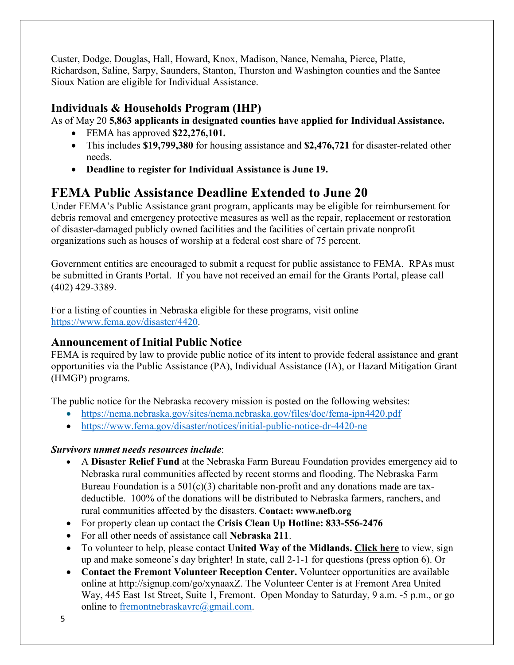Custer, Dodge, Douglas, Hall, Howard, Knox, Madison, Nance, Nemaha, Pierce, Platte, Richardson, Saline, Sarpy, Saunders, Stanton, Thurston and Washington counties and the Santee Sioux Nation are eligible for Individual Assistance.

# **Individuals & Households Program (IHP)**

As of May 20 **5,863 applicants in designated counties have applied for Individual Assistance.**

- FEMA has approved **\$22,276,101.**
- This includes **\$19,799,380** for housing assistance and **\$2,476,721** for disaster-related other needs.
- **Deadline to register for Individual Assistance is June 19.**

# **FEMA Public Assistance Deadline Extended to June 20**

Under FEMA's Public Assistance grant program, applicants may be eligible for reimbursement for debris removal and emergency protective measures as well as the repair, replacement or restoration of disaster-damaged publicly owned facilities and the facilities of certain private nonprofit organizations such as houses of worship at a federal cost share of 75 percent.

Government entities are encouraged to submit a request for public assistance to FEMA. RPAs must be submitted in Grants Portal. If you have not received an email for the Grants Portal, please call (402) 429-3389.

For a listing of counties in Nebraska eligible for these programs, visit online [https://www.fema.gov/disaster/4420.](https://www.fema.gov/disaster/4420)

# **Announcement of Initial Public Notice**

FEMA is required by law to provide public notice of its intent to provide federal assistance and grant opportunities via the Public Assistance (PA), Individual Assistance (IA), or Hazard Mitigation Grant (HMGP) programs.

The public notice for the Nebraska recovery mission is posted on the following websites:

- <https://nema.nebraska.gov/sites/nema.nebraska.gov/files/doc/fema-ipn4420.pdf>
- <https://www.fema.gov/disaster/notices/initial-public-notice-dr-4420-ne>

### *Survivors unmet needs resources include*:

- A **Disaster Relief Fund** at the Nebraska Farm Bureau Foundation provides emergency aid to Nebraska rural communities affected by recent storms and flooding. The Nebraska Farm Bureau Foundation is a  $501(c)(3)$  charitable non-profit and any donations made are taxdeductible. 100% of the donations will be distributed to Nebraska farmers, ranchers, and rural communities affected by the disasters. **Contact: www.nefb.org**
- For property clean up contact the **Crisis Clean Up Hotline: 833-556-2476**
- For all other needs of assistance call **Nebraska 211**.
- To volunteer to help, please contact **United Way of the Midlands. [Click](https://uwmidlands.galaxydigital.com/need/?s=1&need_init_id=1660) here** to view, sign up and make someone's day brighter! In state, call 2-1-1 for questions (press option 6). Or
- **Contact the Fremont Volunteer Reception Center.** Volunteer opportunities are available online at [http://signup.com/go/xynaaxZ.](http://signup.com/go/xynaaxZ?fbclid=IwAR1m90U2vgYS7ECdb6AHljMooZNkdAfb6i-7s_1hgOCf11d0oi-VMnJcMYY) The Volunteer Center is at Fremont Area United Way, 445 East 1st Street, Suite 1, Fremont. Open Monday to Saturday, 9 a.m. -5 p.m., or go online to [fremontnebraskavrc@gmail.com.](mailto:fremontnebraskavrc@gmail.com)